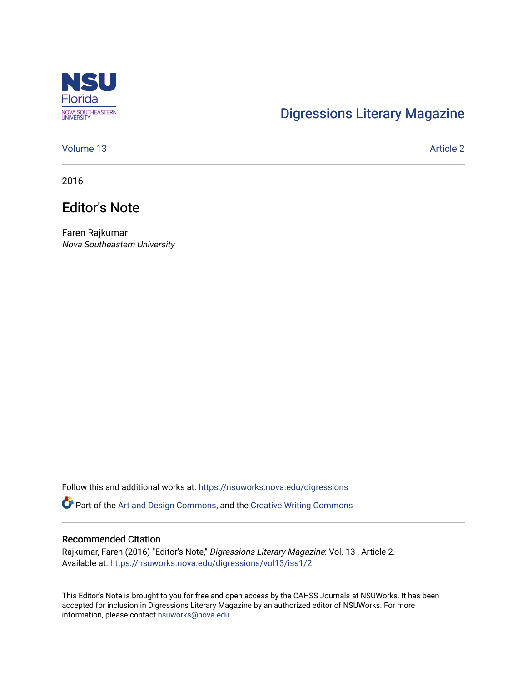

# [Digressions Literary Magazine](https://nsuworks.nova.edu/digressions)

## [Volume 13](https://nsuworks.nova.edu/digressions/vol13) Article 2

2016

# Editor's Note

Faren Rajkumar Nova Southeastern University

Follow this and additional works at: [https://nsuworks.nova.edu/digressions](https://nsuworks.nova.edu/digressions?utm_source=nsuworks.nova.edu%2Fdigressions%2Fvol13%2Fiss1%2F2&utm_medium=PDF&utm_campaign=PDFCoverPages) 

Part of the [Art and Design Commons](http://network.bepress.com/hgg/discipline/1049?utm_source=nsuworks.nova.edu%2Fdigressions%2Fvol13%2Fiss1%2F2&utm_medium=PDF&utm_campaign=PDFCoverPages), and the [Creative Writing Commons](http://network.bepress.com/hgg/discipline/574?utm_source=nsuworks.nova.edu%2Fdigressions%2Fvol13%2Fiss1%2F2&utm_medium=PDF&utm_campaign=PDFCoverPages)

#### Recommended Citation

Rajkumar, Faren (2016) "Editor's Note," Digressions Literary Magazine: Vol. 13 , Article 2. Available at: [https://nsuworks.nova.edu/digressions/vol13/iss1/2](https://nsuworks.nova.edu/digressions/vol13/iss1/2?utm_source=nsuworks.nova.edu%2Fdigressions%2Fvol13%2Fiss1%2F2&utm_medium=PDF&utm_campaign=PDFCoverPages) 

This Editor's Note is brought to you for free and open access by the CAHSS Journals at NSUWorks. It has been accepted for inclusion in Digressions Literary Magazine by an authorized editor of NSUWorks. For more information, please contact [nsuworks@nova.edu.](mailto:nsuworks@nova.edu)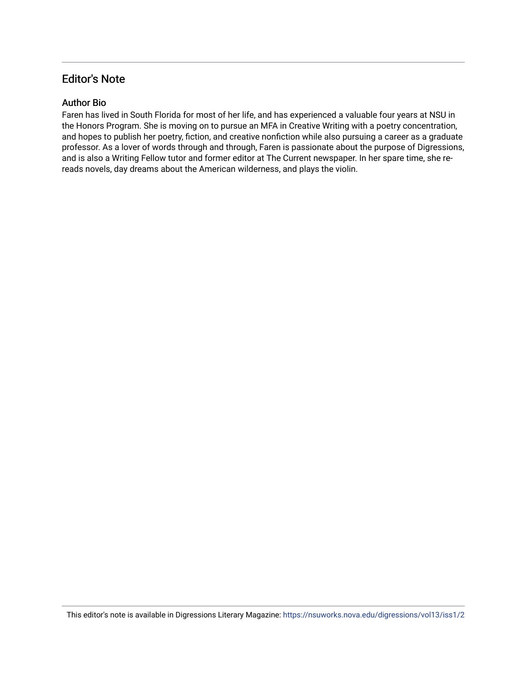# Editor's Note

## Author Bio

Faren has lived in South Florida for most of her life, and has experienced a valuable four years at NSU in the Honors Program. She is moving on to pursue an MFA in Creative Writing with a poetry concentration, and hopes to publish her poetry, fiction, and creative nonfiction while also pursuing a career as a graduate professor. As a lover of words through and through, Faren is passionate about the purpose of Digressions, and is also a Writing Fellow tutor and former editor at The Current newspaper. In her spare time, she rereads novels, day dreams about the American wilderness, and plays the violin.